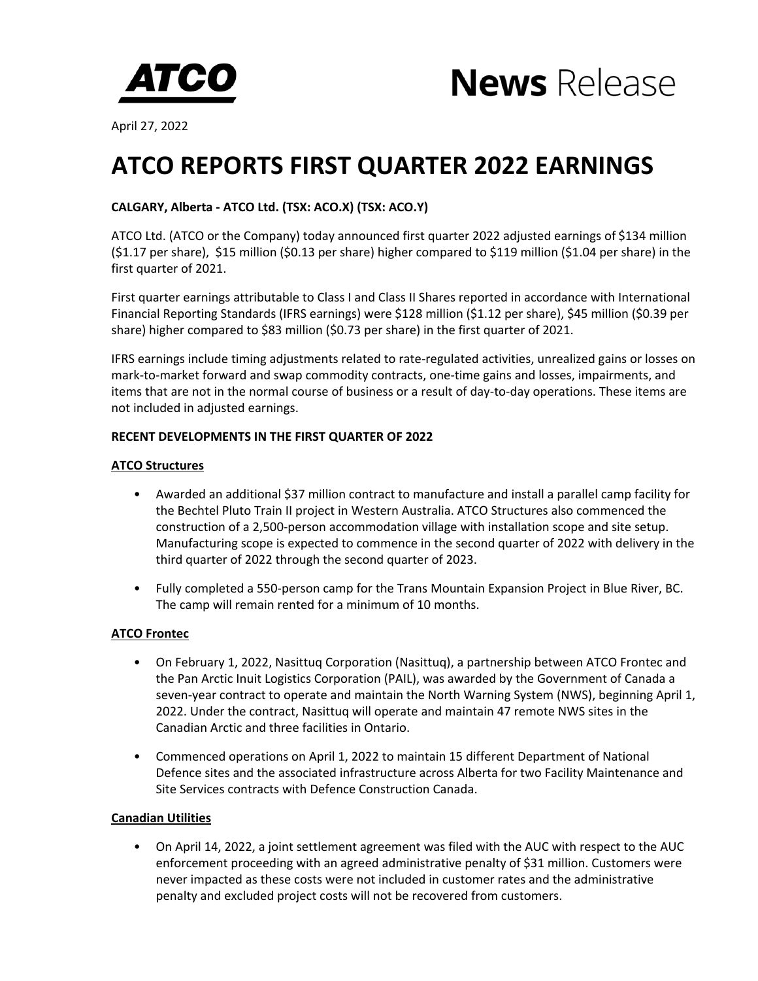



April 27, 2022

# **ATCO REPORTS FIRST QUARTER 2022 EARNINGS**

# **CALGARY, Alberta - ATCO Ltd. (TSX: ACO.X) (TSX: ACO.Y)**

ATCO Ltd. (ATCO or the Company) today announced first quarter 2022 adjusted earnings of \$134 million  $(51.17$  per share),  $$15$  million  $(50.13$  per share) higher compared to  $$119$  million  $(51.04$  per share) in the first quarter of 2021.

First quarter earnings attributable to Class I and Class II Shares reported in accordance with International Financial Reporting Standards (IFRS earnings) were \$128 million (\$1.12 per share), \$45 million (\$0.39 per share) higher compared to \$83 million  $(50.73$  per share) in the first quarter of 2021.

IFRS earnings include timing adjustments related to rate-regulated activities, unrealized gains or losses on mark-to-market forward and swap commodity contracts, one-time gains and losses, impairments, and items that are not in the normal course of business or a result of day-to-day operations. These items are not included in adjusted earnings.

# **RECENT DEVELOPMENTS IN THE FIRST QUARTER OF 2022**

## **ATCO Structures**

- Awarded an additional \$37 million contract to manufacture and install a parallel camp facility for the Bechtel Pluto Train II project in Western Australia. ATCO Structures also commenced the construction of a 2,500-person accommodation village with installation scope and site setup. Manufacturing scope is expected to commence in the second quarter of 2022 with delivery in the third quarter of 2022 through the second quarter of 2023.
- Fully completed a 550-person camp for the Trans Mountain Expansion Project in Blue River, BC. The camp will remain rented for a minimum of 10 months.

# **ATCO Frontec**

- On February 1, 2022, Nasittuq Corporation (Nasittuq), a partnership between ATCO Frontec and the Pan Arctic Inuit Logistics Corporation (PAIL), was awarded by the Government of Canada a seven-year contract to operate and maintain the North Warning System (NWS), beginning April 1, 2022. Under the contract, Nasittug will operate and maintain 47 remote NWS sites in the Canadian Arctic and three facilities in Ontario.
- Commenced operations on April 1, 2022 to maintain 15 different Department of National Defence sites and the associated infrastructure across Alberta for two Facility Maintenance and Site Services contracts with Defence Construction Canada.

# **Canadian Utilities**

On April 14, 2022, a joint settlement agreement was filed with the AUC with respect to the AUC enforcement proceeding with an agreed administrative penalty of \$31 million. Customers were never impacted as these costs were not included in customer rates and the administrative penalty and excluded project costs will not be recovered from customers.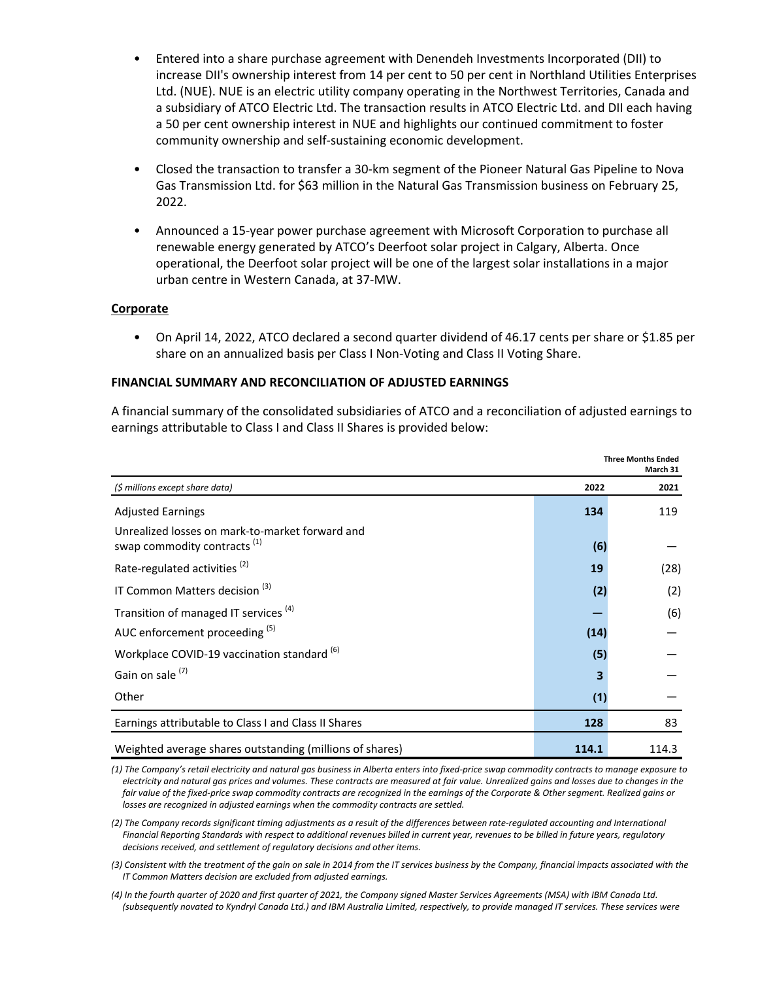- Entered into a share purchase agreement with Denendeh Investments Incorporated (DII) to increase DII's ownership interest from 14 per cent to 50 per cent in Northland Utilities Enterprises Ltd. (NUE). NUE is an electric utility company operating in the Northwest Territories, Canada and a subsidiary of ATCO Electric Ltd. The transaction results in ATCO Electric Ltd. and DII each having a 50 per cent ownership interest in NUE and highlights our continued commitment to foster community ownership and self-sustaining economic development.
- Closed the transaction to transfer a 30-km segment of the Pioneer Natural Gas Pipeline to Nova Gas Transmission Ltd. for \$63 million in the Natural Gas Transmission business on February 25, 2022.
- Announced a 15-year power purchase agreement with Microsoft Corporation to purchase all renewable energy generated by ATCO's Deerfoot solar project in Calgary, Alberta. Once operational, the Deerfoot solar project will be one of the largest solar installations in a major urban centre in Western Canada, at 37-MW.

## **Corporate**

• On April 14, 2022, ATCO declared a second quarter dividend of 46.17 cents per share or \$1.85 per share on an annualized basis per Class I Non-Voting and Class II Voting Share.

## **FINANCIAL SUMMARY AND RECONCILIATION OF ADJUSTED EARNINGS**

A financial summary of the consolidated subsidiaries of ATCO and a reconciliation of adjusted earnings to earnings attributable to Class I and Class II Shares is provided below:

|                                                                                            |       | <b>Three Months Ended</b><br>March 31 |  |
|--------------------------------------------------------------------------------------------|-------|---------------------------------------|--|
| (\$ millions except share data)                                                            | 2022  | 2021                                  |  |
| <b>Adjusted Earnings</b>                                                                   | 134   | 119                                   |  |
| Unrealized losses on mark-to-market forward and<br>swap commodity contracts <sup>(1)</sup> | (6)   |                                       |  |
| Rate-regulated activities <sup>(2)</sup>                                                   | 19    | (28)                                  |  |
| IT Common Matters decision <sup>(3)</sup>                                                  | (2)   | (2)                                   |  |
| Transition of managed IT services <sup>(4)</sup>                                           |       | (6)                                   |  |
| AUC enforcement proceeding (5)                                                             | (14)  |                                       |  |
| Workplace COVID-19 vaccination standard <sup>(6)</sup>                                     | (5)   |                                       |  |
| Gain on sale <sup>(7)</sup>                                                                |       |                                       |  |
| Other                                                                                      | (1)   |                                       |  |
| Earnings attributable to Class I and Class II Shares                                       | 128   | 83                                    |  |
| Weighted average shares outstanding (millions of shares)                                   | 114.1 | 114.3                                 |  |

(1) The Company's retail electricity and natural gas business in Alberta enters into fixed-price swap commodity contracts to manage exposure to electricity and natural gas prices and volumes. These contracts are measured at fair value. Unrealized gains and losses due to changes in the fair value of the fixed-price swap commodity contracts are recognized in the earnings of the Corporate & Other segment. Realized gains or *losses are recognized in adjusted earnings when the commodity contracts are settled.* 

(2) The Company records significant timing adjustments as a result of the differences between rate-regulated accounting and International Financial Reporting Standards with respect to additional revenues billed in current year, revenues to be billed in future years, regulatory decisions received, and settlement of regulatory decisions and other items.

(3) Consistent with the treatment of the gain on sale in 2014 from the IT services business by the Company, financial impacts associated with the *IT Common Matters decision are excluded from adjusted earnings.* 

(4) In the fourth quarter of 2020 and first quarter of 2021, the Company signed Master Services Agreements (MSA) with IBM Canada Ltd. (subsequently novated to Kyndryl Canada Ltd.) and IBM Australia Limited, respectively, to provide managed IT services. These services were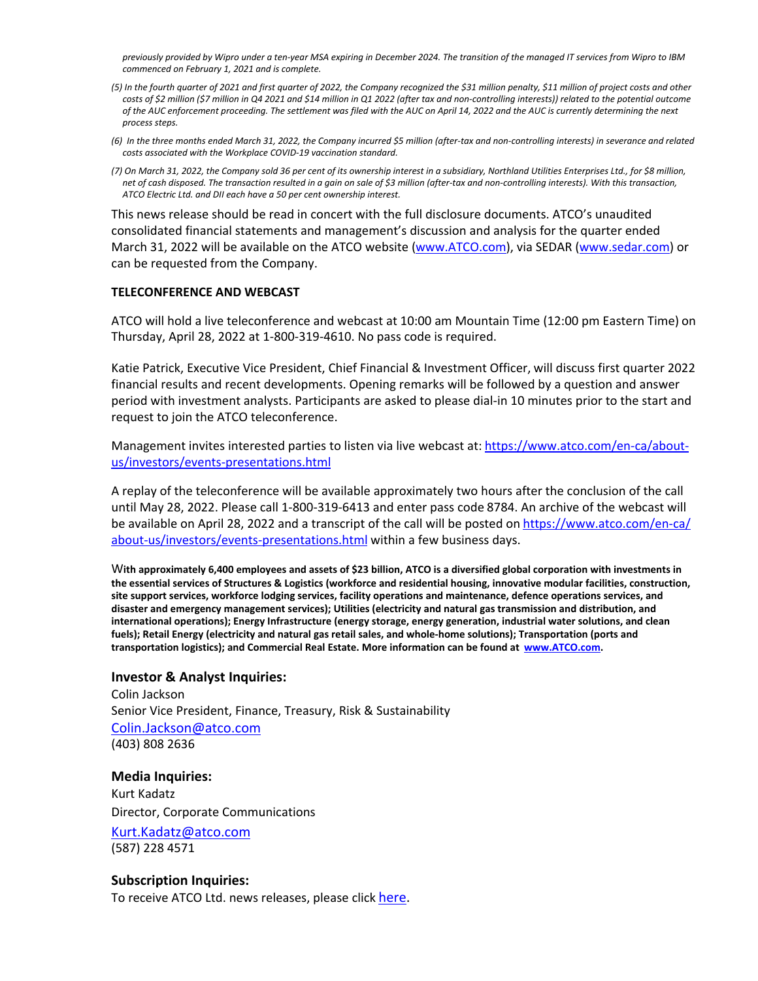previously provided by Wipro under a ten-year MSA expiring in December 2024. The transition of the managed IT services from Wipro to IBM commenced on February 1, 2021 and is complete.

- (5) In the fourth quarter of 2021 and first quarter of 2022, the Company recognized the \$31 million penalty, \$11 million of project costs and other costs of \$2 million (\$7 million in Q4 2021 and \$14 million in Q1 2022 (after tax and non-controlling interests)) related to the potential outcome of the AUC enforcement proceeding. The settlement was filed with the AUC on April 14, 2022 and the AUC is currently determining the next *process steps.*
- (6) In the three months ended March 31, 2022, the Company incurred \$5 million (after-tax and non-controlling interests) in severance and related costs associated with the Workplace COVID-19 vaccination standard.
- (7) On March 31, 2022, the Company sold 36 per cent of its ownership interest in a subsidiary, Northland Utilities Enterprises Ltd., for \$8 million, net of cash disposed. The transaction resulted in a gain on sale of \$3 million (after-tax and non-controlling interests). With this transaction, ATCO Electric Ltd. and DII each have a 50 per cent ownership interest.

This news release should be read in concert with the full disclosure documents. ATCO's unaudited consolidated financial statements and management's discussion and analysis for the quarter ended March 31, 2022 will be available on the ATCO website ([www.ATCO.com](https://www.atco.com/en-ca.html)), via SEDAR [\(www.sedar.com](https://www.sedar.com/)) or can be requested from the Company.

#### **TELECONFERENCE AND WEBCAST**

ATCO will hold a live teleconference and webcast at 10:00 am Mountain Time (12:00 pm Eastern Time) on Thursday, April 28, 2022 at  $1-800-319-4610$ . No pass code is required.

Katie Patrick, Executive Vice President, Chief Financial & Investment Officer, will discuss first quarter 2022 financial results and recent developments. Opening remarks will be followed by a question and answer period with investment analysts. Participants are asked to please dial-in 10 minutes prior to the start and request to join the ATCO teleconference.

Management invites interested parties to listen via live webcast at: [https://www.atco.com/en-ca/about](https://www.atco.com/en-ca/about-us/investors/events-presentations.html)[us/investors/events-presentations.html](https://www.atco.com/en-ca/about-us/investors/events-presentations.html)

A replay of the teleconference will be available approximately two hours after the conclusion of the call until May 28, 2022. Please call 1-800-319-6413 and enter pass code 8784. An archive of the webcast will be available on April 28, 2022 and a transcript of the call will be posted on [https://www.atco.com/en-ca/](https://www.atco.com/en-ca/about-us/investors/events-presentations.html) [about-us/investors/events-presentations.html](https://www.atco.com/en-ca/about-us/investors/events-presentations.html) within a few business days.

With approximately 6,400 employees and assets of \$23 billion, ATCO is a diversified global corporation with investments in the essential services of Structures & Logistics (workforce and residential housing, innovative modular facilities, construction, site support services, workforce lodging services, facility operations and maintenance, defence operations services, and disaster and emergency management services); Utilities (electricity and natural gas transmission and distribution, and international operations); Energy Infrastructure (energy storage, energy generation, industrial water solutions, and clean fuels); Retail Energy (electricity and natural gas retail sales, and whole-home solutions); Transportation (ports and transportation logistics); and Commercial Real Estate. More information can be found at [www.ATCO.com](https://www.atco.com/).

#### **Investor & Analyst Inquiries:**

Colin Jackson Senior Vice President, Finance, Treasury, Risk & Sustainability [Colin.Jackson@atco.com](mailto:Colin.Jackson@atco.com) (403) 808 2636

**Media Inquiries:** Kurt Kadatz Director, Corporate Communications [Kurt.Kadatz@atco.com](mailto:Kurt.Kadatz@atco.com) (587) 228 4571

# **Subscription Inquiries:**

To receive ATCO Ltd. news releases, please click [here](https://can01.safelinks.protection.outlook.com/?url=https%3A%2F%2Fatco.mediaroom.com%2F&data=04%7C01%7CLawrence.Gramson%40atco.com%7C69facf9572e34cdc41ba08d9989f9121%7Cf1e3115057dd4b7892083c24b9366a23%7C0%7C0%7C637708633493098531%7CUnknown%7CTWFpbGZsb3d8eyJWIjoiMC4wLjAwMDAiLCJQIjoiV2luMzIiLCJBTiI6Ik1haWwiLCJXVCI6Mn0%3D%7C1000&sdata=cRT1%2Ft8nLIx6jcDr1sGYdYNCxjRgct9iG%2B3NUDmio%2FQ%3D&reserved=0).